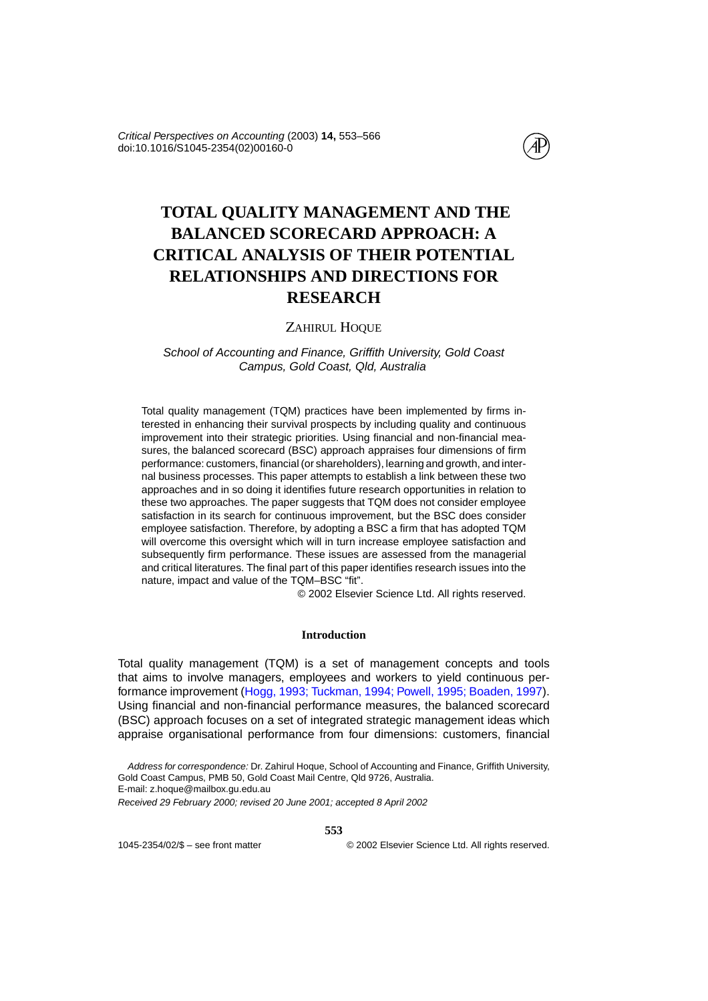

## **TOTAL QUALITY MANAGEMENT AND THE BALANCED SCORECARD APPROACH: A CRITICAL ANALYSIS OF THEIR POTENTIAL RELATIONSHIPS AND DIRECTIONS FOR RESEARCH**

### ZAHIRUL HOQUE

School of Accounting and Finance, Griffith University, Gold Coast Campus, Gold Coast, Qld, Australia

Total quality management (TQM) practices have been implemented by firms interested in enhancing their survival prospects by including quality and continuous improvement into their strategic priorities. Using financial and non-financial measures, the balanced scorecard (BSC) approach appraises four dimensions of firm performance: customers, financial (or shareholders), learning and growth, and internal business processes. This paper attempts to establish a link between these two approaches and in so doing it identifies future research opportunities in relation to these two approaches. The paper suggests that TQM does not consider employee satisfaction in its search for continuous improvement, but the BSC does consider employee satisfaction. Therefore, by adopting a BSC a firm that has adopted TQM will overcome this oversight which will in turn increase employee satisfaction and subsequently firm performance. These issues are assessed from the managerial and critical literatures. The final part of this paper identifies research issues into the nature, impact and value of the TQM–BSC "fit".

© 2002 Elsevier Science Ltd. All rights reserved.

#### **Introduction**

Total quality management (TQM) is a set of management concepts and tools that aims to involve managers, employees and workers to yield continuous performance improvement ([Hogg, 1993; Tuckman, 1994; Powell, 1995; Boaden, 1997\).](#page--1-0) Using financial and non-financial performance measures, the balanced scorecard (BSC) approach focuses on a set of integrated strategic management ideas which appraise organisational performance from four dimensions: customers, financial

**553**

E-mail: z.hoque@mailbox.gu.edu.au

Address for correspondence: Dr. Zahirul Hoque, School of Accounting and Finance, Griffith University, Gold Coast Campus, PMB 50, Gold Coast Mail Centre, Qld 9726, Australia.

Received 29 February 2000; revised 20 June 2001; accepted 8 April 2002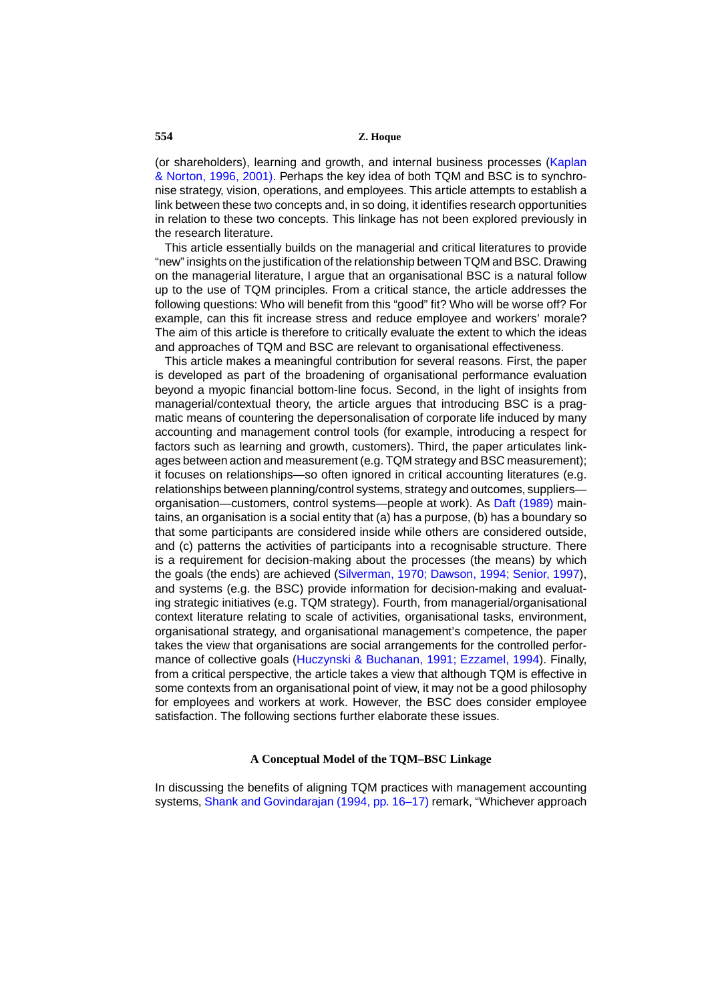(or shareholders), learning and growth, and internal business processes [\(Kaplan](#page--1-0) [& Norton, 1996, 2001\).](#page--1-0) Perhaps the key idea of both TQM and BSC is to synchronise strategy, vision, operations, and employees. This article attempts to establish a link between these two concepts and, in so doing, it identifies research opportunities in relation to these two concepts. This linkage has not been explored previously in the research literature.

This article essentially builds on the managerial and critical literatures to provide "new" insights on the justification of the relationship between TQM and BSC. Drawing on the managerial literature, I argue that an organisational BSC is a natural follow up to the use of TQM principles. From a critical stance, the article addresses the following questions: Who will benefit from this "good" fit? Who will be worse off? For example, can this fit increase stress and reduce employee and workers' morale? The aim of this article is therefore to critically evaluate the extent to which the ideas and approaches of TQM and BSC are relevant to organisational effectiveness.

This article makes a meaningful contribution for several reasons. First, the paper is developed as part of the broadening of organisational performance evaluation beyond a myopic financial bottom-line focus. Second, in the light of insights from managerial/contextual theory, the article argues that introducing BSC is a pragmatic means of countering the depersonalisation of corporate life induced by many accounting and management control tools (for example, introducing a respect for factors such as learning and growth, customers). Third, the paper articulates linkages between action and measurement (e.g. TQM strategy and BSC measurement); it focuses on relationships—so often ignored in critical accounting literatures (e.g. relationships between planning/control systems, strategy and outcomes, suppliers organisation—customers, control systems—people at work). As [Daft \(1989\)](#page--1-0) maintains, an organisation is a social entity that (a) has a purpose, (b) has a boundary so that some participants are considered inside while others are considered outside, and (c) patterns the activities of participants into a recognisable structure. There is a requirement for decision-making about the processes (the means) by which the goals (the ends) are achieved [\(Silverman, 1970; Dawson, 1994; Senior, 1997\),](#page--1-0) and systems (e.g. the BSC) provide information for decision-making and evaluating strategic initiatives (e.g. TQM strategy). Fourth, from managerial/organisational context literature relating to scale of activities, organisational tasks, environment, organisational strategy, and organisational management's competence, the paper takes the view that organisations are social arrangements for the controlled performance of collective goals [\(Huczynski & Buchanan, 1991; Ezzamel, 1994\)](#page--1-0). Finally, from a critical perspective, the article takes a view that although TQM is effective in some contexts from an organisational point of view, it may not be a good philosophy for employees and workers at work. However, the BSC does consider employee satisfaction. The following sections further elaborate these issues.

#### **A Conceptual Model of the TQM–BSC Linkage**

In discussing the benefits of aligning TQM practices with management accounting systems, [Shank and Govindarajan \(1994, pp. 16–17\)](#page--1-0) remark, "Whichever approach